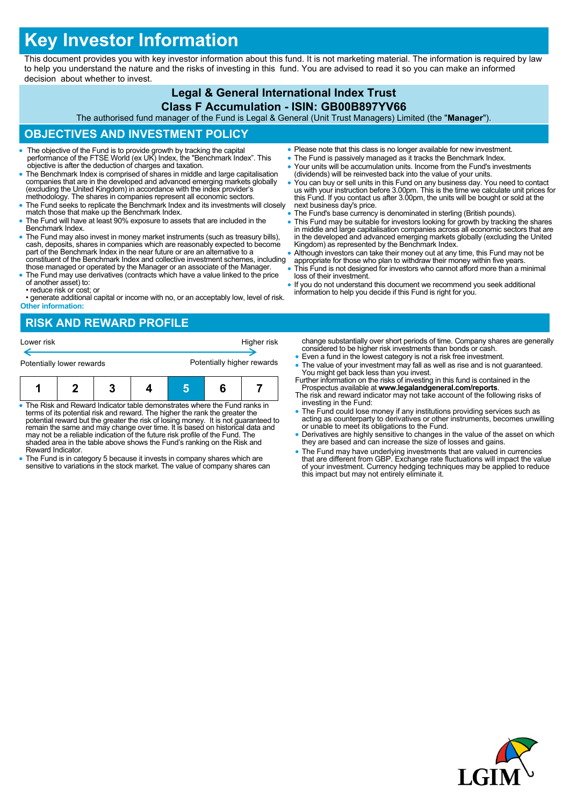# **Key Investor Information**

This document provides you with key investor information about this fund. It is not marketing material. The information is required by law to help you understand the nature and the risks of investing in this fund. You are advised to read it so you can make an informed decision about whether to invest.

## **Legal & General International Index Trust**

**Class F Accumulation - ISIN: GB00B897YV66**

The authorised fund manager of the Fund is Legal & General (Unit Trust Managers) Limited (the "**Manager**").

## **OBJECTIVES AND INVESTMENT POLICY**

- The objective of the Fund is to provide growth by tracking the capital performance of the FTSE World (ex UK) Index, the "Benchmark Index". This objective is after the deduction of charges and taxation.
- The Benchmark Index is comprised of shares in middle and large capitalisation companies that are in the developed and advanced emerging markets globally (excluding the United Kingdom) in accordance with the index provider's methodology. The shares in companies represent all economic sectors.
- The Fund seeks to replicate the Benchmark Index and its investments will closely match those that make up the Benchmark Index.
- The Fund will have at least 90% exposure to assets that are included in the Benchmark Index.
- The Fund may also invest in money market instruments (such as treasury bills), cash, deposits, shares in companies which are reasonably expected to become part of the Benchmark Index in the near future or are an alternative to a constituent of the Benchmark Index and collective investment schemes, including
- those managed or operated by the Manager or an associate of the Manager. The Fund may use derivatives (contracts which have a value linked to the price of another asset) to:
- reduce risk or cost; or
- generate additional capital or income with no, or an acceptably low, level of risk. **Other information:**

## **RISK AND REWARD PROFILE**

| Lower risk                |  |  |  | Higher risk                |  |  |  |
|---------------------------|--|--|--|----------------------------|--|--|--|
| Potentially lower rewards |  |  |  | Potentially higher rewards |  |  |  |
|                           |  |  |  |                            |  |  |  |

| $\bullet$ The Risk and Reward Indicator table demonstrates where the Fund ranks in |  |  |  |  |  |  |
|------------------------------------------------------------------------------------|--|--|--|--|--|--|

- terms of its potential risk and reward. The higher the rank the greater the potential reward but the greater the risk of losing money. It is not guaranteed to remain the same and may change over time. It is based on historical data and may not be a reliable indication of the future risk profile of the Fund. The shaded area in the table above shows the Fund's ranking on the Risk and Reward Indicator.
- The Fund is in category 5 because it invests in company shares which are sensitive to variations in the stock market. The value of company shares can
- Please note that this class is no longer available for new investment.
- The Fund is passively managed as it tracks the Benchmark Index.
- Your units will be accumulation units. Income from the Fund's investments (dividends) will be reinvested back into the value of your units.
- You can buy or sell units in this Fund on any business day. You need to contact us with your instruction before 3.00pm. This is the time we calculate unit prices for this Fund. If you contact us after 3.00pm, the units will be bought or sold at the next business day's price.
- The Fund's base currency is denominated in sterling (British pounds).
- This Fund may be suitable for investors looking for growth by tracking the shares in middle and large capitalisation companies across all economic sectors that are in the developed and advanced emerging markets globally (excluding the United Kingdom) as represented by the Benchmark Index.
- Although investors can take their money out at any time, this Fund may not be
- appropriate for those who plan to withdraw their money within five years. This Fund is not designed for investors who cannot afford more than a minimal loss of their investment.
- If you do not understand this document we recommend you seek additional information to help you decide if this Fund is right for you.

change substantially over short periods of time. Company shares are generally considered to be higher risk investments than bonds or cash.

- Even a fund in the lowest category is not a risk free investment. • The value of your investment may fall as well as rise and is not quaranteed. You might get back less than you invest.
- Further information on the risks of investing in this fund is contained in the
- Prospectus available at **www.legalandgeneral.com/reports**. The risk and reward indicator may not take account of the following risks of investing in the Fund:
- The Fund could lose money if any institutions providing services such as acting as counterparty to derivatives or other instruments, becomes unwilling or unable to meet its obligations to the Fund.
- Derivatives are highly sensitive to changes in the value of the asset on which they are based and can increase the size of losses and gains.
- The Fund may have underlying investments that are valued in currencies that are different from GBP. Exchange rate fluctuations will impact the value of your investment. Currency hedging techniques may be applied to reduce this impact but may not entirely eliminate it.